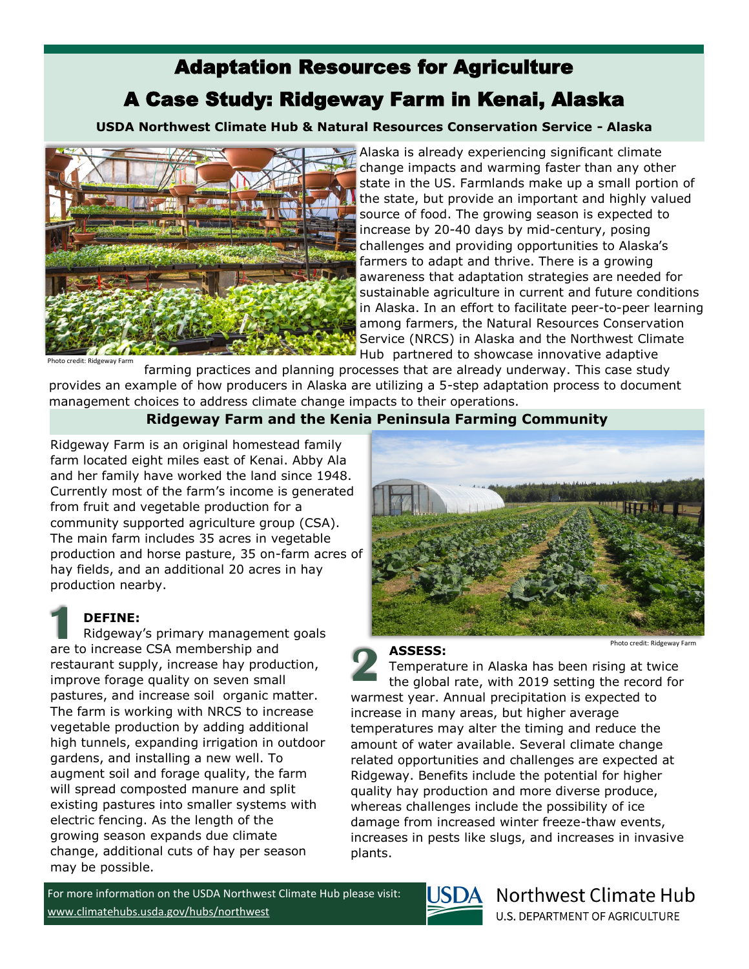# Adaptation Resources for Agriculture

## A Case Study: Ridgeway Farm in Kenai, Alaska

**USDA Northwest Climate Hub & Natural Resources Conservation Service - Alaska** 



Alaska is already experiencing significant climate change impacts and warming faster than any other state in the US. Farmlands make up a small portion of the state, but provide an important and highly valued source of food. The growing season is expected to increase by 20-40 days by mid-century, posing challenges and providing opportunities to Alaska's farmers to adapt and thrive. There is a growing awareness that adaptation strategies are needed for sustainable agriculture in current and future conditions in Alaska. In an effort to facilitate peer-to-peer learning among farmers, the Natural Resources Conservation Service (NRCS) in Alaska and the Northwest Climate Hub partnered to showcase innovative adaptive

farming practices and planning processes that are already underway. This case study provides an example of how producers in Alaska are utilizing a 5-step adaptation process to document management choices to address climate change impacts to their operations.

### **Ridgeway Farm and the Kenia Peninsula Farming Community**

Ridgeway Farm is an original homestead family farm located eight miles east of Kenai. Abby Ala and her family have worked the land since 1948. Currently most of the farm's income is generated from fruit and vegetable production for a community supported agriculture group (CSA). The main farm includes 35 acres in vegetable production and horse pasture, 35 on-farm acres of hay fields, and an additional 20 acres in hay production nearby.

### **DEFINE:**

Ridgeway's primary management goals are to increase CSA membership and restaurant supply, increase hay production, improve forage quality on seven small pastures, and increase soil organic matter. The farm is working with NRCS to increase vegetable production by adding additional high tunnels, expanding irrigation in outdoor gardens, and installing a new well. To augment soil and forage quality, the farm will spread composted manure and split existing pastures into smaller systems with electric fencing. As the length of the growing season expands due climate change, additional cuts of hay per season may be possible. **1**



Photo credit: Ridgeway Fari

#### **ASSESS:**

Temperature in Alaska has been rising at twice the global rate, with 2019 setting the record for warmest year. Annual precipitation is expected to increase in many areas, but higher average temperatures may alter the timing and reduce the amount of water available. Several climate change related opportunities and challenges are expected at Ridgeway. Benefits include the potential for higher quality hay production and more diverse produce, whereas challenges include the possibility of ice damage from increased winter freeze-thaw events, increases in pests like slugs, and increases in invasive plants. **2**

For more information on the USDA Northwest Climate Hub please visit: [www.climatehubs.usda.gov/hubs/northwest](https://www.climatehubs.usda.gov/hubs/northwest)



## Northwest Climate Hub

**U.S. DEPARTMENT OF AGRICULTURE**